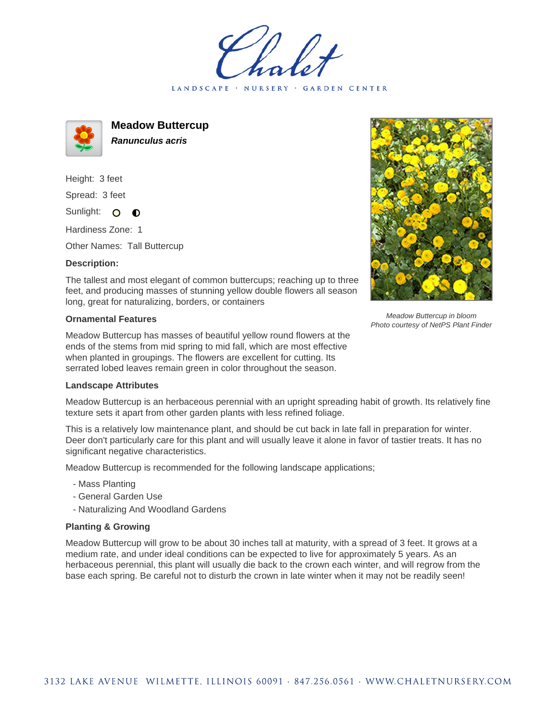LANDSCAPE · NURSERY · GARDEN CENTER



**Meadow Buttercup Ranunculus acris**

Height: 3 feet Spread: 3 feet

Sunlight: O  $\bullet$ 

Hardiness Zone: 1

Other Names: Tall Buttercup

## **Description:**

Meadow Buttercup in bloom Photo courtesy of NetPS Plant Finder

The tallest and most elegant of common buttercups; reaching up to three feet, and producing masses of stunning yellow double flowers all season long, great for naturalizing, borders, or containers

## **Ornamental Features**

Meadow Buttercup has masses of beautiful yellow round flowers at the ends of the stems from mid spring to mid fall, which are most effective when planted in groupings. The flowers are excellent for cutting. Its serrated lobed leaves remain green in color throughout the season.

## **Landscape Attributes**

Meadow Buttercup is an herbaceous perennial with an upright spreading habit of growth. Its relatively fine texture sets it apart from other garden plants with less refined foliage.

This is a relatively low maintenance plant, and should be cut back in late fall in preparation for winter. Deer don't particularly care for this plant and will usually leave it alone in favor of tastier treats. It has no significant negative characteristics.

Meadow Buttercup is recommended for the following landscape applications;

- Mass Planting
- General Garden Use
- Naturalizing And Woodland Gardens

## **Planting & Growing**

Meadow Buttercup will grow to be about 30 inches tall at maturity, with a spread of 3 feet. It grows at a medium rate, and under ideal conditions can be expected to live for approximately 5 years. As an herbaceous perennial, this plant will usually die back to the crown each winter, and will regrow from the base each spring. Be careful not to disturb the crown in late winter when it may not be readily seen!